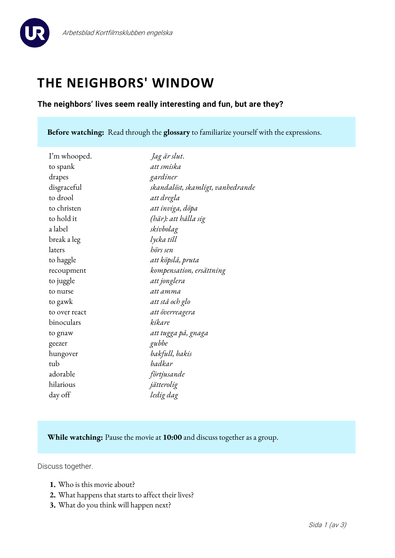



# **THE NEIGHBORS' WINDOW**

## **The neighbors' lives seem really interesting and fun, but are they?**

**Before watching:** Read through the **glossary** to familiarize yourself with the expressions.

| I'm whooped.  | Jag är slut.                      |
|---------------|-----------------------------------|
| to spank      | att smiska                        |
| drapes        | gardiner                          |
| disgraceful   | skandalöst, skamligt, vanhedrande |
| to drool      | att dregla                        |
| to christen   | att inviga, döpa                  |
| to hold it    | (här): att hålla sig              |
| a label       | skivbolag                         |
| break a leg   | lycka till                        |
| laters        | hörs sen                          |
| to haggle     | att köpslå, pruta                 |
| recoupment    | kompensation, ersättning          |
| to juggle     | att jonglera                      |
| to nurse      | att amma                          |
| to gawk       | att stå och glo                   |
| to over react | att överreagera                   |
| binoculars    | kikare                            |
| to gnaw       | att tugga på, gnaga               |
| geezer        | gubbe                             |
| hungover      | bakfull, bakis                    |
| tub           | badkar                            |
| adorable      | förtjusande                       |
| hilarious     | jätterolig                        |
| day off       | ledig dag                         |
|               |                                   |

## **While watching:** Pause the movie at **10:00** and discuss together as a group.

Discuss together.

- **1.** Who is this movie about?
- **2.** What happens that starts to affect their lives?
- **3.** What do you think will happen next?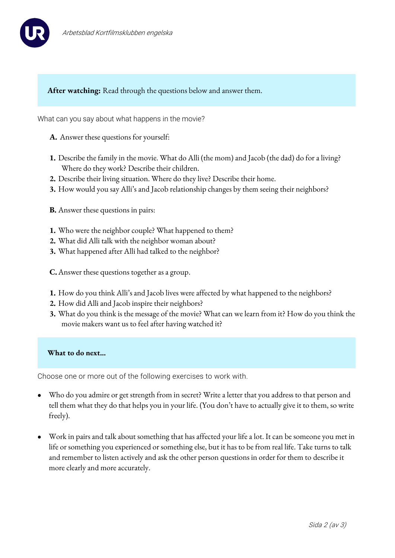



## **After watching:** Read through the questions below and answer them.

What can you say about what happens in the movie?

- **A.** Answer these questions for yourself:
- **1.** Describe the family in the movie. What do Alli (the mom) and Jacob (the dad) do for a living? Where do they work? Describe their children.
- **2.** Describe their living situation. Where do they live? Describe their home.
- **3.** How would you say Alli's and Jacob relationship changes by them seeing their neighbors?
- **B.** Answer these questions in pairs:
- **1.** Who were the neighbor couple? What happened to them?
- **2.** What did Alli talk with the neighbor woman about?
- **3.** What happened after Alli had talked to the neighbor?
- **C.**Answer these questions together as a group.
- **1.** How do you think Alli's and Jacob lives were affected by what happened to the neighbors?
- **2.** How did Alli and Jacob inspire their neighbors?
- **3.** What do you think is the message of the movie? What can we learn from it? How do you think the movie makers want us to feel after having watched it?

### **What to do next…**

Choose one or more out of the following exercises to work with.

- Who do you admire or get strength from in secret? Write a letter that you address to that person and tell them what they do that helps you in your life. (You don't have to actually give it to them, so write freely).
- Work in pairs and talk about something that has affected your life a lot. It can be someone you met in life or something you experienced or something else, but it has to be from real life. Take turns to talk and remember to listen actively and ask the other person questions in order for them to describe it more clearly and more accurately.